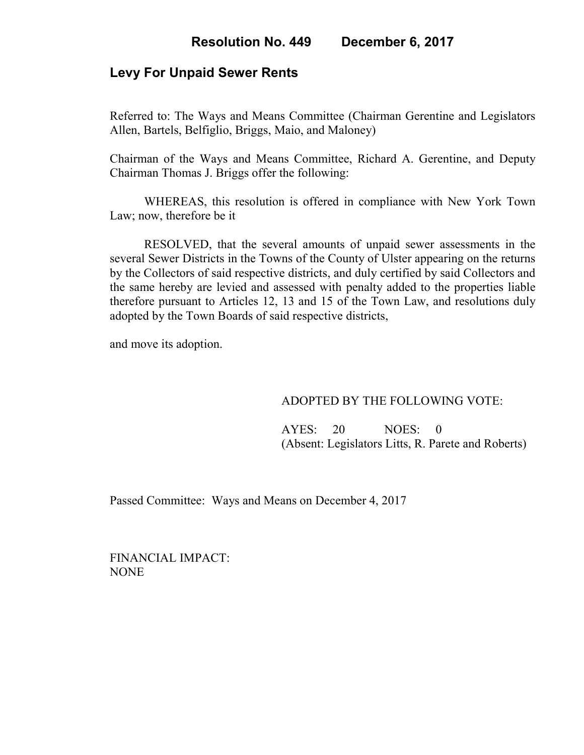## **Levy For Unpaid Sewer Rents**

Referred to: The Ways and Means Committee (Chairman Gerentine and Legislators Allen, Bartels, Belfiglio, Briggs, Maio, and Maloney)

Chairman of the Ways and Means Committee, Richard A. Gerentine, and Deputy Chairman Thomas J. Briggs offer the following:

WHEREAS, this resolution is offered in compliance with New York Town Law; now, therefore be it

RESOLVED, that the several amounts of unpaid sewer assessments in the several Sewer Districts in the Towns of the County of Ulster appearing on the returns by the Collectors of said respective districts, and duly certified by said Collectors and the same hereby are levied and assessed with penalty added to the properties liable therefore pursuant to Articles 12, 13 and 15 of the Town Law, and resolutions duly adopted by the Town Boards of said respective districts,

and move its adoption.

### ADOPTED BY THE FOLLOWING VOTE:

 AYES: 20 NOES: 0 (Absent: Legislators Litts, R. Parete and Roberts)

Passed Committee: Ways and Means on December 4, 2017

FINANCIAL IMPACT: NONE